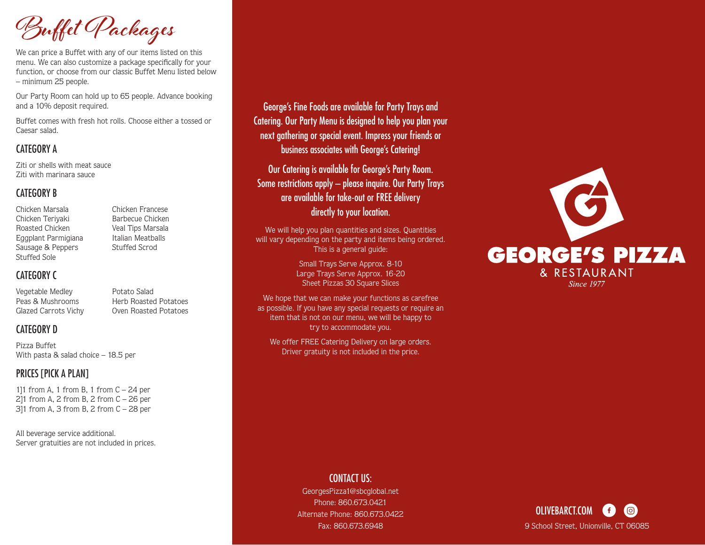**Buffet Packages**

We can price a Buffet with any of our items listed on this menu. We can also customize a package specifically for your function, or choose from our classic Buffet Menu listed below – minimum 25 people.

Our Party Room can hold up to 65 people. Advance booking and a 10% deposit required.

Buffet comes with fresh hot rolls. Choose either a tossed or Caesar salad.

#### CATEGORY A

Ziti or shells with meat sauce Ziti with marinara sauce

#### CATEGORY B

Chicken Marsala Chicken Francese Chicken Teriyaki Barbecue Chicken Roasted Chicken Veal Tips Marsala Eggplant Parmigiana Italian Meatballs Sausage & Peppers Stuffed Scrod Stuffed Sole

# CATEGORY C

Vegetable Medley **Potato Salad** Glazed Carrots Vichy Oven Roasted Potatoes

Peas & Mushrooms Herb Roasted Potatoes

### CATEGORY D

Pizza Buffet With pasta & salad choice – 18.5 per

# PRICES [PICK A PLAN]

111 from A, 1 from B, 1 from  $C - 24$  per 2]1 from A, 2 from B, 2 from  $C - 26$  per 3]1 from A, 3 from B, 2 from C – 28 per

All beverage service additional. Server gratuities are not included in prices.

# George's Fine Foods are available for Party Trays and Catering. Our Party Menu is designed to help you plan your next gathering or special event. Impress your friends or business associates with George's Catering!

Our Catering is available for George's Party Room. Some restrictions apply – please inquire. Our Party Trays are available for take-out or FREE delivery directly to your location.

We will help you plan quantities and sizes. Quantities will vary depending on the party and items being ordered. This is a general guide:

> Small Trays Serve Approx. 8-10 Large Trays Serve Approx. 16-20 Sheet Pizzas 30 Square Slices

We hope that we can make your functions as carefree as possible. If you have any special requests or require an item that is not on our menu, we will be happy to try to accommodate you.

We offer FREE Catering Delivery on large orders. Driver gratuity is not included in the price.



# CONTACT US:

GeorgesPizza1@sbcglobal.net Phone: 860.673.0421 Alternate Phone: 860.673.0422 Fax: 860.673.6948